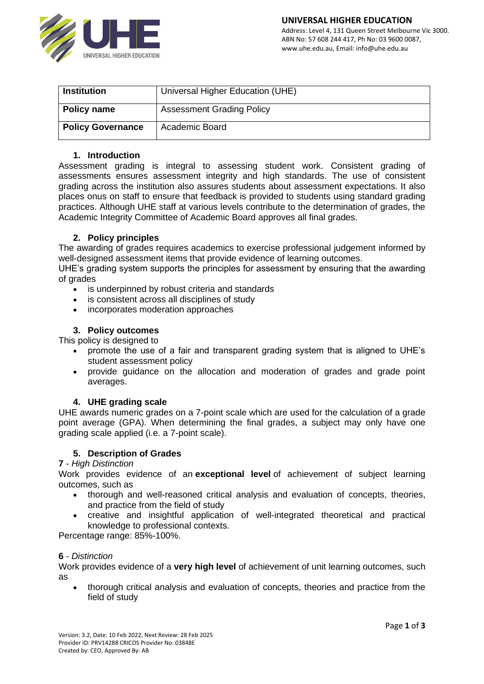

| <b>Institution</b>       | Universal Higher Education (UHE) |
|--------------------------|----------------------------------|
| Policy name              | <b>Assessment Grading Policy</b> |
| <b>Policy Governance</b> | Academic Board                   |

#### **1. Introduction**

Assessment grading is integral to assessing student work. Consistent grading of assessments ensures assessment integrity and high standards. The use of consistent grading across the institution also assures students about assessment expectations. It also places onus on staff to ensure that feedback is provided to students using standard grading practices. Although UHE staff at various levels contribute to the determination of grades, the Academic Integrity Committee of Academic Board approves all final grades.

## **2. Policy principles**

The awarding of grades requires academics to exercise professional judgement informed by well-designed assessment items that provide evidence of learning outcomes.

UHE's grading system supports the principles for assessment by ensuring that the awarding of grades

- is underpinned by robust criteria and standards
- is consistent across all disciplines of study
- incorporates moderation approaches

#### **3. Policy outcomes**

This policy is designed to

- promote the use of a fair and transparent grading system that is aligned to UHE's student assessment policy
- provide guidance on the allocation and moderation of grades and grade point averages.

#### **4. UHE grading scale**

UHE awards numeric grades on a 7-point scale which are used for the calculation of a grade point average (GPA). When determining the final grades, a subject may only have one grading scale applied (i.e. a 7-point scale).

#### **5. Description of Grades**

#### **7** - *High Distinction*

Work provides evidence of an **exceptional level** of achievement of subject learning outcomes, such as

- thorough and well-reasoned critical analysis and evaluation of concepts, theories, and practice from the field of study
- creative and insightful application of well-integrated theoretical and practical knowledge to professional contexts.

Percentage range: 85%-100%.

#### **6** - *Distinction*

Work provides evidence of a **very high level** of achievement of unit learning outcomes, such as

• thorough critical analysis and evaluation of concepts, theories and practice from the field of study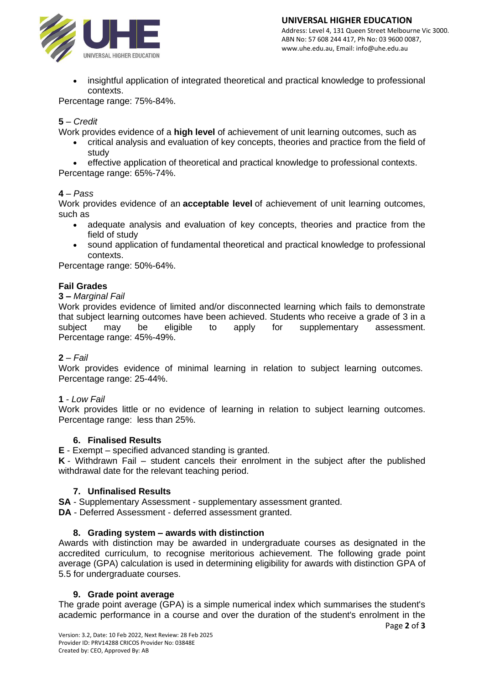

• insightful application of integrated theoretical and practical knowledge to professional contexts.

Percentage range: 75%-84%.

# **5** – *Credit*

Work provides evidence of a **high level** of achievement of unit learning outcomes, such as

- critical analysis and evaluation of key concepts, theories and practice from the field of study
- effective application of theoretical and practical knowledge to professional contexts. Percentage range: 65%-74%.

## **4** – *Pass*

Work provides evidence of an **acceptable level** of achievement of unit learning outcomes, such as

- adequate analysis and evaluation of key concepts, theories and practice from the field of study
- sound application of fundamental theoretical and practical knowledge to professional contexts.

Percentage range: 50%-64%.

## **Fail Grades**

## **3 –** *Marginal Fail*

Work provides evidence of limited and/or disconnected learning which fails to demonstrate that subject learning outcomes have been achieved. Students who receive a grade of 3 in a subject may be eligible to apply for supplementary assessment. Percentage range: 45%-49%.

## **2** – *Fail*

Work provides evidence of minimal learning in relation to subject learning outcomes. Percentage range: 25-44%.

## **1** - *Low Fail*

Work provides little or no evidence of learning in relation to subject learning outcomes. Percentage range: less than 25%.

## **6. Finalised Results**

**E** - Exempt – specified advanced standing is granted.

**K** - Withdrawn Fail – student cancels their enrolment in the subject after the published withdrawal date for the relevant teaching period.

## **7. Unfinalised Results**

**SA** - Supplementary Assessment - supplementary assessment granted.

**DA** - Deferred Assessment - deferred assessment granted.

## **8. Grading system – awards with distinction**

Awards with distinction may be awarded in undergraduate courses as designated in the accredited curriculum, to recognise meritorious achievement. The following grade point average (GPA) calculation is used in determining eligibility for awards with distinction GPA of 5.5 for undergraduate courses.

## **9. Grade point average**

The grade point average (GPA) is a simple numerical index which summarises the student's academic performance in a course and over the duration of the student's enrolment in the